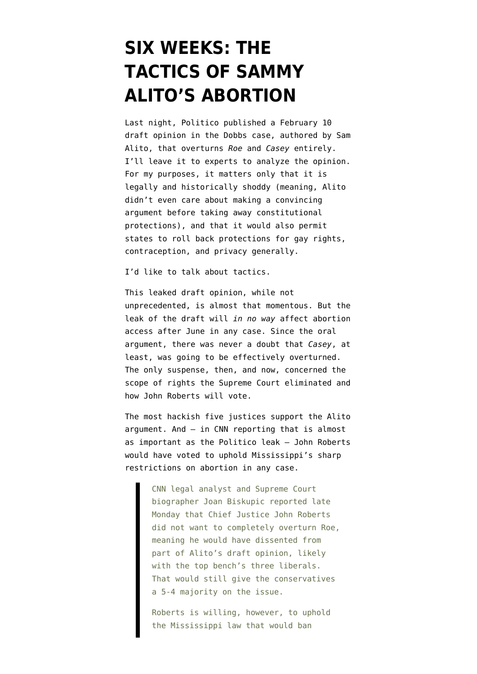## **[SIX WEEKS: THE](https://www.emptywheel.net/2022/05/03/six-weeks-the-tactics-of-sammy-alitos-abortion/) [TACTICS OF SAMMY](https://www.emptywheel.net/2022/05/03/six-weeks-the-tactics-of-sammy-alitos-abortion/) [ALITO'S ABORTION](https://www.emptywheel.net/2022/05/03/six-weeks-the-tactics-of-sammy-alitos-abortion/)**

Last night, Politico [published](https://www.politico.com/news/2022/05/02/supreme-court-abortion-draft-opinion-00029473) a February 10 [draft opinion](https://www.politico.com/news/2022/05/02/read-justice-alito-initial-abortion-opinion-overturn-roe-v-wade-pdf-00029504) in the Dobbs case, authored by Sam Alito, that overturns *Roe* and *Casey* entirely. I'll leave it to experts to analyze the opinion. For my purposes, it matters only that it is legally and historically shoddy (meaning, Alito didn't even care about making a convincing argument before taking away constitutional protections), and that it would also permit states to roll back protections for gay rights, contraception, and privacy generally.

I'd like to talk about tactics.

This leaked draft opinion, [while not](https://twitter.com/jonathanwpeters/status/1521309806430236672) [unprecedented](https://twitter.com/jonathanwpeters/status/1521309806430236672), is almost that momentous. But the leak of the draft will *in no way* affect abortion access after June in any case. Since [the oral](https://www.youtube.com/watch?v=MRe4mYcEqBM) [argument,](https://www.youtube.com/watch?v=MRe4mYcEqBM) there was never a doubt that *Casey*, at least, was going to be effectively overturned. The only suspense, then, and now, concerned the scope of rights the Supreme Court eliminated and how John Roberts will vote.

The most hackish five justices support the Alito argument. And — in [CNN reporting](https://edition.cnn.com/2022/05/03/politics/abortion-politics-analysis/index.html) that is almost as important as the Politico leak — John Roberts would have voted to uphold Mississippi's sharp restrictions on abortion in any case.

> CNN legal analyst and Supreme Court biographer Joan Biskupic reported late Monday that Chief Justice John Roberts did not want to completely overturn Roe, meaning he would have dissented from part of Alito's draft opinion, likely with the top bench's three liberals. That would still give the conservatives a 5-4 majority on the issue.

Roberts is willing, however, to uphold the Mississippi law that would ban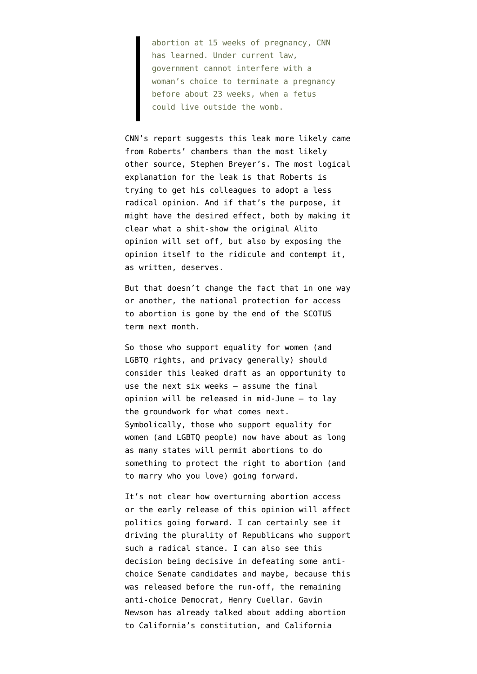abortion at 15 weeks of pregnancy, CNN has learned. Under current law, government cannot interfere with a woman's choice to terminate a pregnancy before about 23 weeks, when a fetus could live outside the womb.

CNN's report suggests this leak more likely came from Roberts' chambers than the most likely other source, Stephen Breyer's. The most logical explanation for the leak is that Roberts is trying to get his colleagues to adopt a less radical opinion. And if that's the purpose, it might have the desired effect, both by making it clear what a shit-show the original Alito opinion will set off, but also by exposing the opinion itself to the ridicule and contempt it, as written, deserves.

But that doesn't change the fact that in one way or another, the national protection for access to abortion is gone by the end of the SCOTUS term next month.

So those who support equality for women (and LGBTQ rights, and privacy generally) should consider this leaked draft as an opportunity to use the next six weeks — assume the final opinion will be released in mid-June — to lay the groundwork for what comes next. Symbolically, those who support equality for women (and LGBTQ people) now have about as long as many states will permit abortions to do something to protect the right to abortion (and to marry who you love) going forward.

It's not clear how overturning abortion access or the early release of this opinion will affect politics going forward. I can certainly see it driving the plurality of Republicans who support such a radical stance. I can also see this decision being decisive in defeating some antichoice Senate candidates and maybe, because this was released before the run-off, [the remaining](https://www.texastribune.org/2022/03/02/henry-cuellar-jessica-cisneros-texas-primary-election/) [anti-choice Democrat, Henry Cuellar](https://www.texastribune.org/2022/03/02/henry-cuellar-jessica-cisneros-texas-primary-election/). Gavin Newsom has already talked about adding abortion to California's constitution, and California